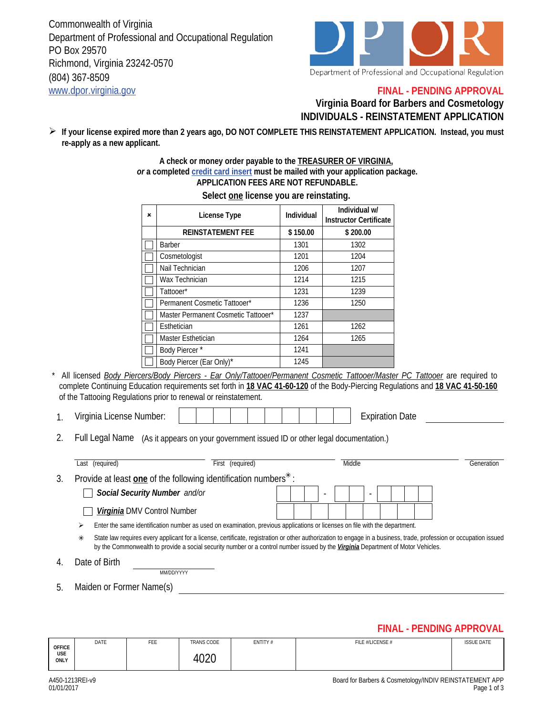Commonwealth of Virginia Department of Professional and Occupational Regulation PO Box 29570 Richmond, Virginia 23242-0570 (804) 367-8509 www.dpor.virginia.gov



### **FINAL - PENDING APPROVAL**

### **Virginia Board for Barbers and Cosmetology INDIVIDUALS - REINSTATEMENT APPLICATION**

**If your license expired more than 2 years ago, DO NOT COMPLETE THIS REINSTATEMENT APPLICATION. Instead, you must re-apply as a new applicant.** 

#### **A check or money order payable to the TREASURER OF VIRGINIA,**  *or* **a completed credit card insert must be mailed with your application package. APPLICATION FEES ARE NOT REFUNDABLE.**

| × | License Type                        | Individual | Individual w/<br><b>Instructor Certificate</b> |  |
|---|-------------------------------------|------------|------------------------------------------------|--|
|   | <b>REINSTATEMENT FEE</b>            | \$150.00   | \$200.00                                       |  |
|   | <b>Barber</b>                       | 1301       | 1302                                           |  |
|   | Cosmetologist                       | 1201       | 1204                                           |  |
|   | Nail Technician                     | 1206       | 1207                                           |  |
|   | Wax Technician                      | 1214       | 1215                                           |  |
|   | Tattooer*                           | 1231       | 1239                                           |  |
|   | Permanent Cosmetic Tattooer*        | 1236       | 1250                                           |  |
|   | Master Permanent Cosmetic Tattooer* | 1237       |                                                |  |
|   | Esthetician                         | 1261       | 1262                                           |  |
|   | Master Esthetician                  | 1264       | 1265                                           |  |
|   | Body Piercer*                       | 1241       |                                                |  |
|   | Body Piercer (Ear Only)*            | 1245       |                                                |  |

### **Select one license you are reinstating.**

\* All licensed *Body Piercers/Body Piercers - Ear Only/Tattooer/Permanent Cosmetic Tattooer/Master PC Tattooer* are required to complete Continuing Education requirements set forth in **18 VAC 41-60-120** of the Body-Piercing Regulations and **18 VAC 41-50-160** of the Tattooing Regulations prior to renewal or reinstatement.

- 1. Virginia License Number:  $\begin{vmatrix} \cdot & \cdot & \cdot \\ \cdot & \cdot & \cdot \\ \cdot & \cdot & \cdot \end{vmatrix}$  | | | | | | | | Expiration Date
- 2. Full Legal Name (As it appears on your government issued ID or other legal documentation.)

|    | Last (required)                                                                                                                                                                                                                                                                                                         | (required)<br>First |                          | Middle |  | Generation |  |  |
|----|-------------------------------------------------------------------------------------------------------------------------------------------------------------------------------------------------------------------------------------------------------------------------------------------------------------------------|---------------------|--------------------------|--------|--|------------|--|--|
| 3. | Provide at least one of the following identification numbers <sup>*</sup> :                                                                                                                                                                                                                                             |                     |                          |        |  |            |  |  |
|    | Social Security Number and/or                                                                                                                                                                                                                                                                                           |                     | $\overline{\phantom{a}}$ |        |  |            |  |  |
|    | Virginia DMV Control Number                                                                                                                                                                                                                                                                                             |                     |                          |        |  |            |  |  |
|    | Enter the same identification number as used on examination, previous applications or licenses on file with the department.<br>⋗                                                                                                                                                                                        |                     |                          |        |  |            |  |  |
|    | State law requires every applicant for a license, certificate, registration or other authorization to engage in a business, trade, profession or occupation issued<br>$\ast$<br>by the Commonwealth to provide a social security number or a control number issued by the <i>Virginia</i> Department of Motor Vehicles. |                     |                          |        |  |            |  |  |
| 4. | Date of Birth<br>MM/DD/YYYY                                                                                                                                                                                                                                                                                             |                     |                          |        |  |            |  |  |
|    |                                                                                                                                                                                                                                                                                                                         |                     |                          |        |  |            |  |  |

5. Maiden or Former Name(s)

# **FINAL - PENDING APPROVAL**

| <b>OFFICE</b><br>USE<br>ONLY | DATE | FEE | <b>TRANS CODE</b>  | ENTITY# | FILE #/LICENSE # | <b>ISSUE DATE</b> |
|------------------------------|------|-----|--------------------|---------|------------------|-------------------|
|                              |      |     | 1070<br>//<br>ັບ∠ບ |         |                  |                   |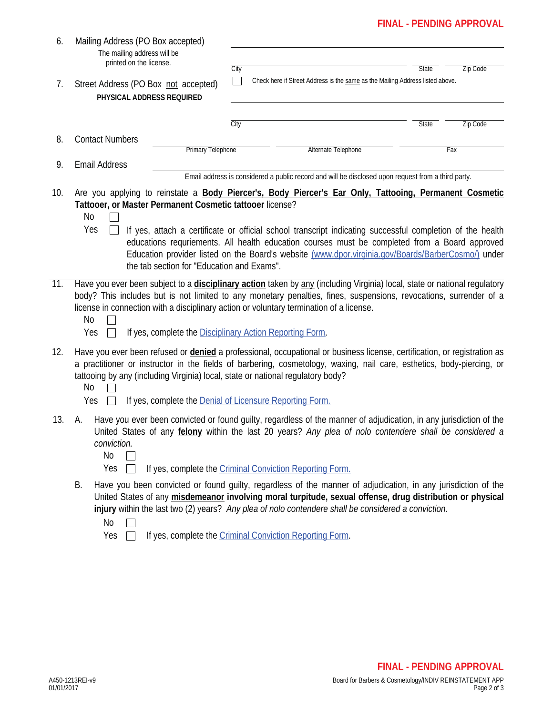## **FINAL - PENDING APPROVAL**

| 6.  | Mailing Address (PO Box accepted)<br>The mailing address will be<br>printed on the license.<br>Street Address (PO Box not accepted)<br>7.<br>PHYSICAL ADDRESS REQUIRED                                                                                                                                                                                                                                                      |                                            | City                                                                               |                                                                                                                                                                                                                                                                                                                                                                                                                            | State | Zip Code |  |
|-----|-----------------------------------------------------------------------------------------------------------------------------------------------------------------------------------------------------------------------------------------------------------------------------------------------------------------------------------------------------------------------------------------------------------------------------|--------------------------------------------|------------------------------------------------------------------------------------|----------------------------------------------------------------------------------------------------------------------------------------------------------------------------------------------------------------------------------------------------------------------------------------------------------------------------------------------------------------------------------------------------------------------------|-------|----------|--|
|     |                                                                                                                                                                                                                                                                                                                                                                                                                             |                                            | п<br>Check here if Street Address is the same as the Mailing Address listed above. |                                                                                                                                                                                                                                                                                                                                                                                                                            |       |          |  |
|     |                                                                                                                                                                                                                                                                                                                                                                                                                             |                                            | City                                                                               |                                                                                                                                                                                                                                                                                                                                                                                                                            | State | Zip Code |  |
| 8.  | <b>Contact Numbers</b>                                                                                                                                                                                                                                                                                                                                                                                                      |                                            |                                                                                    |                                                                                                                                                                                                                                                                                                                                                                                                                            |       |          |  |
|     |                                                                                                                                                                                                                                                                                                                                                                                                                             | Primary Telephone                          |                                                                                    | Alternate Telephone                                                                                                                                                                                                                                                                                                                                                                                                        |       | Fax      |  |
| 9.  | <b>Email Address</b>                                                                                                                                                                                                                                                                                                                                                                                                        |                                            |                                                                                    | Email address is considered a public record and will be disclosed upon request from a third party.                                                                                                                                                                                                                                                                                                                         |       |          |  |
| 10. | Tattooer, or Master Permanent Cosmetic tattooer license?<br>No<br>Yes                                                                                                                                                                                                                                                                                                                                                       | the tab section for "Education and Exams". |                                                                                    | Are you applying to reinstate a Body Piercer's, Body Piercer's Ear Only, Tattooing, Permanent Cosmetic<br>If yes, attach a certificate or official school transcript indicating successful completion of the health<br>educations requriements. All health education courses must be completed from a Board approved<br>Education provider listed on the Board's website (www.dpor.virginia.gov/Boards/BarberCosmo/) under |       |          |  |
| 11. | Have you ever been subject to a <i>disciplinary action</i> taken by any (including Virginia) local, state or national regulatory<br>body? This includes but is not limited to any monetary penalties, fines, suspensions, revocations, surrender of a<br>license in connection with a disciplinary action or voluntary termination of a license.<br>No<br>If yes, complete the Disciplinary Action Reporting Form.<br>Yes   |                                            |                                                                                    |                                                                                                                                                                                                                                                                                                                                                                                                                            |       |          |  |
| 12. | Have you ever been refused or <i>denied</i> a professional, occupational or business license, certification, or registration as<br>a practitioner or instructor in the fields of barbering, cosmetology, waxing, nail care, esthetics, body-piercing, or<br>tattooing by any (including Virginia) local, state or national regulatory body?<br>No<br>If yes, complete the <b>Denial of Licensure Reporting Form.</b><br>Yes |                                            |                                                                                    |                                                                                                                                                                                                                                                                                                                                                                                                                            |       |          |  |
| 13. | А.<br>conviction.<br>No<br>Yes                                                                                                                                                                                                                                                                                                                                                                                              |                                            |                                                                                    | Have you ever been convicted or found guilty, regardless of the manner of adjudication, in any jurisdiction of the<br>United States of any felony within the last 20 years? Any plea of nolo contendere shall be considered a<br>If yes, complete the Criminal Conviction Reporting Form.                                                                                                                                  |       |          |  |
|     | В.<br>No<br>Yes                                                                                                                                                                                                                                                                                                                                                                                                             |                                            |                                                                                    | Have you been convicted or found guilty, regardless of the manner of adjudication, in any jurisdiction of the<br>United States of any misdemeanor involving moral turpitude, sexual offense, drug distribution or physical<br>injury within the last two (2) years? Any plea of nolo contendere shall be considered a conviction.<br>If yes, complete the Criminal Conviction Reporting Form.                              |       |          |  |